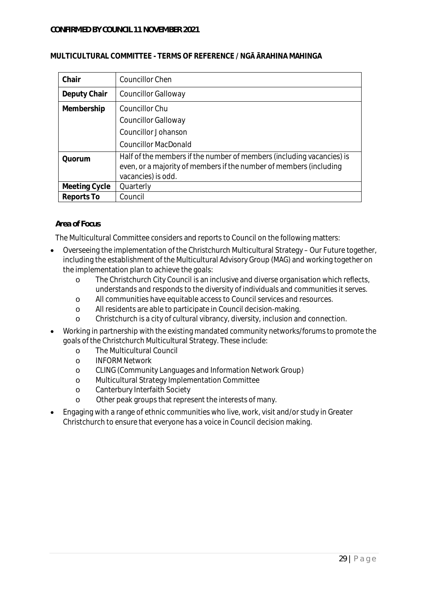| MULTICULTURAL COMMITTEE - TERMS OF REFERENCE / NGA ARAHINA MAHINGA |  |  |  |
|--------------------------------------------------------------------|--|--|--|
|                                                                    |  |  |  |

| Chair         | <b>Councillor Chen</b>                                                                                                                                            |
|---------------|-------------------------------------------------------------------------------------------------------------------------------------------------------------------|
| Deputy Chair  | <b>Councillor Galloway</b>                                                                                                                                        |
| Membership    | <b>Councillor Chu</b>                                                                                                                                             |
|               | <b>Councillor Galloway</b>                                                                                                                                        |
|               | <b>Councillor Johanson</b>                                                                                                                                        |
|               | Councillor MacDonald                                                                                                                                              |
| Quorum        | Half of the members if the number of members (including vacancies) is<br>even, or a majority of members if the number of members (including<br>vacancies) is odd. |
| Meeting Cycle | Quarterly                                                                                                                                                         |
| Reports To    | Council                                                                                                                                                           |

## *Area of Focus*

The Multicultural Committee considers and reports to Council on the following matters:

- Overseeing the implementation of the Christchurch Multicultural Strategy Our Future together, including the establishment of the Multicultural Advisory Group (MAG) and working together on the implementation plan to achieve the goals:
	- o The Christchurch City Council is an inclusive and diverse organisation which reflects, understands and responds to the diversity of individuals and communities it serves.
	- o All communities have equitable access to Council services and resources.
	- o All residents are able to participate in Council decision-making.
	- o Christchurch is a city of cultural vibrancy, diversity, inclusion and connection.
- Working in partnership with the existing mandated community networks/forums to promote the goals of the Christchurch Multicultural Strategy. These include:
	- o The Multicultural Council
	- o INFORM Network
	- o CLING (Community Languages and Information Network Group)
	- o Multicultural Strategy Implementation Committee
	- o Canterbury Interfaith Society
	- o Other peak groups that represent the interests of many.
- Engaging with a range of ethnic communities who live, work, visit and/or study in Greater Christchurch to ensure that everyone has a voice in Council decision making.